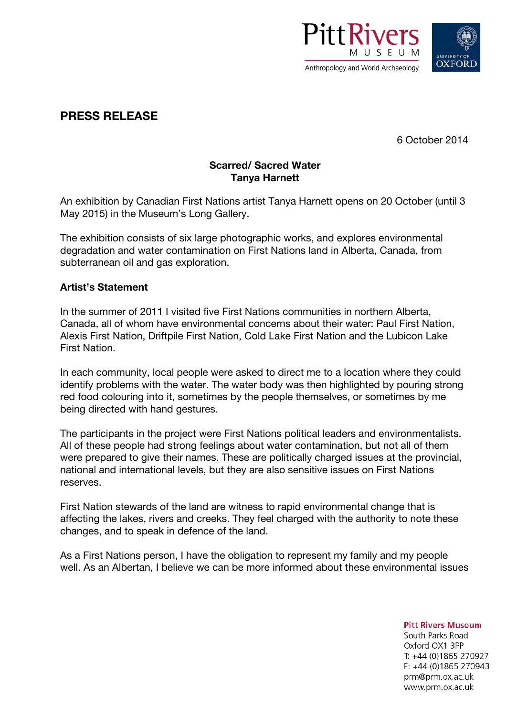



# **PRESS RELEASE**

6 October 2014

## **Scarred/ Sacred Water Tanya Harnett**

An exhibition by Canadian First Nations artist Tanya Harnett opens on 20 October (until 3 May 2015) in the Museum's Long Gallery.

The exhibition consists of six large photographic works, and explores environmental degradation and water contamination on First Nations land in Alberta, Canada, from subterranean oil and gas exploration.

### **Artist's Statement**

In the summer of 2011 I visited five First Nations communities in northern Alberta, Canada, all of whom have environmental concerns about their water: Paul First Nation, Alexis First Nation, Driftpile First Nation, Cold Lake First Nation and the Lubicon Lake First Nation.

In each community, local people were asked to direct me to a location where they could identify problems with the water. The water body was then highlighted by pouring strong red food colouring into it, sometimes by the people themselves, or sometimes by me being directed with hand gestures.

The participants in the project were First Nations political leaders and environmentalists. All of these people had strong feelings about water contamination, but not all of them were prepared to give their names. These are politically charged issues at the provincial, national and international levels, but they are also sensitive issues on First Nations reserves.

First Nation stewards of the land are witness to rapid environmental change that is affecting the lakes, rivers and creeks. They feel charged with the authority to note these changes, and to speak in defence of the land.

As a First Nations person, I have the obligation to represent my family and my people well. As an Albertan, I believe we can be more informed about these environmental issues

**Pitt Rivers Museum** 

South Parks Road Oxford OX1 3PP T: +44 (0)1865 270927  $F: +44(0)1865270943$ prm@prm.ox.ac.uk www.prm.ox.ac.uk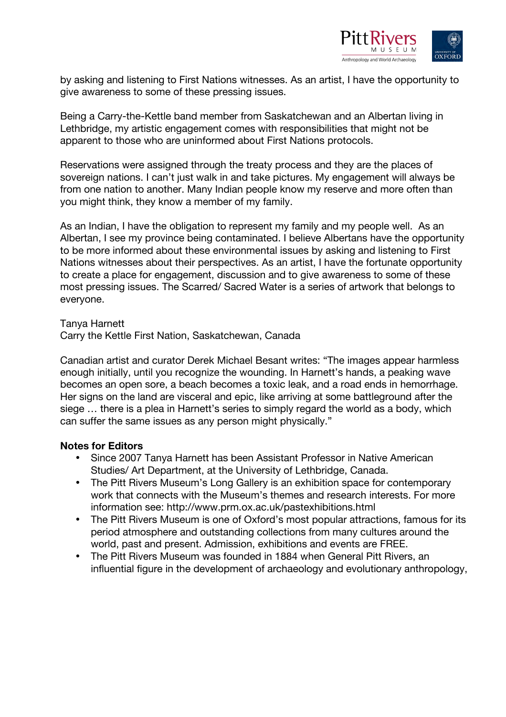

by asking and listening to First Nations witnesses. As an artist, I have the opportunity to give awareness to some of these pressing issues.

Being a Carry-the-Kettle band member from Saskatchewan and an Albertan living in Lethbridge, my artistic engagement comes with responsibilities that might not be apparent to those who are uninformed about First Nations protocols.

Reservations were assigned through the treaty process and they are the places of sovereign nations. I can't just walk in and take pictures. My engagement will always be from one nation to another. Many Indian people know my reserve and more often than you might think, they know a member of my family.

As an Indian, I have the obligation to represent my family and my people well. As an Albertan, I see my province being contaminated. I believe Albertans have the opportunity to be more informed about these environmental issues by asking and listening to First Nations witnesses about their perspectives. As an artist, I have the fortunate opportunity to create a place for engagement, discussion and to give awareness to some of these most pressing issues. The Scarred/ Sacred Water is a series of artwork that belongs to everyone.

Tanya Harnett

Carry the Kettle First Nation, Saskatchewan, Canada

Canadian artist and curator Derek Michael Besant writes: "The images appear harmless enough initially, until you recognize the wounding. In Harnett's hands, a peaking wave becomes an open sore, a beach becomes a toxic leak, and a road ends in hemorrhage. Her signs on the land are visceral and epic, like arriving at some battleground after the siege … there is a plea in Harnett's series to simply regard the world as a body, which can suffer the same issues as any person might physically."

#### **Notes for Editors**

- Since 2007 Tanya Harnett has been Assistant Professor in Native American Studies/ Art Department, at the University of Lethbridge, Canada.
- The Pitt Rivers Museum's Long Gallery is an exhibition space for contemporary work that connects with the Museum's themes and research interests. For more information see: http://www.prm.ox.ac.uk/pastexhibitions.html
- The Pitt Rivers Museum is one of Oxford's most popular attractions, famous for its period atmosphere and outstanding collections from many cultures around the world, past and present. Admission, exhibitions and events are FREE.
- The Pitt Rivers Museum was founded in 1884 when General Pitt Rivers, an influential figure in the development of archaeology and evolutionary anthropology,